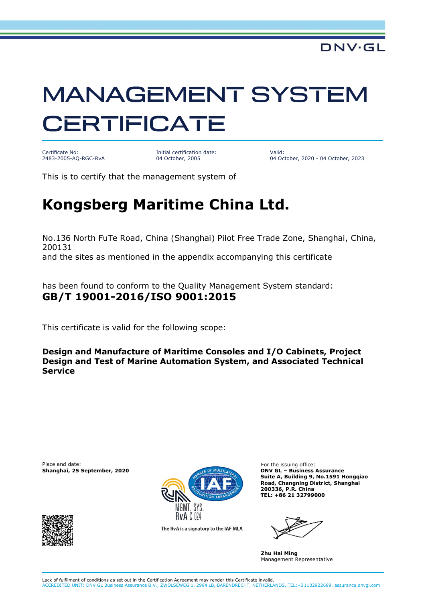## **MANAGEMENT SYSTEM CERTIFICATE**

Certificate No: 2483-2005-AQ-RGC-RvA Initial certification date: 04 October, 2005

Valid: 04 October, 2020 - 04 October, 2023

This is to certify that the management system of

## **Kongsberg Maritime China Ltd.**

No.136 North FuTe Road, China (Shanghai) Pilot Free Trade Zone, Shanghai, China, 200131

and the sites as mentioned in the appendix accompanying this certificate

has been found to conform to the Quality Management System standard: **GB/T 19001-2016/ISO 9001:2015**

This certificate is valid for the following scope:

**Design and Manufacture of Maritime Consoles and I/O Cabinets, Project Design and Test of Marine Automation System, and Associated Technical Service**

Place and date: For the issuing office:





The RvA is a signatory to the IAF MLA

**Suite A, Building 9, No.1591 Hongqiao Road, Changning District, Shanghai 200336, P.R. China TEL: +86 21 32799000**

**Zhu Hai Ming** Management Representative

Lack of fulfilment of conditions as set out in the Certification Agreement may render this Certificate invalid. ACCREDITED UNIT: DNV GL Business Assurance B.V., ZWOLSEWEG 1, 2994 LB, BARENDRECHT, NETHERLANDS. TEL:+31102922689. assurance.dnvgl.com